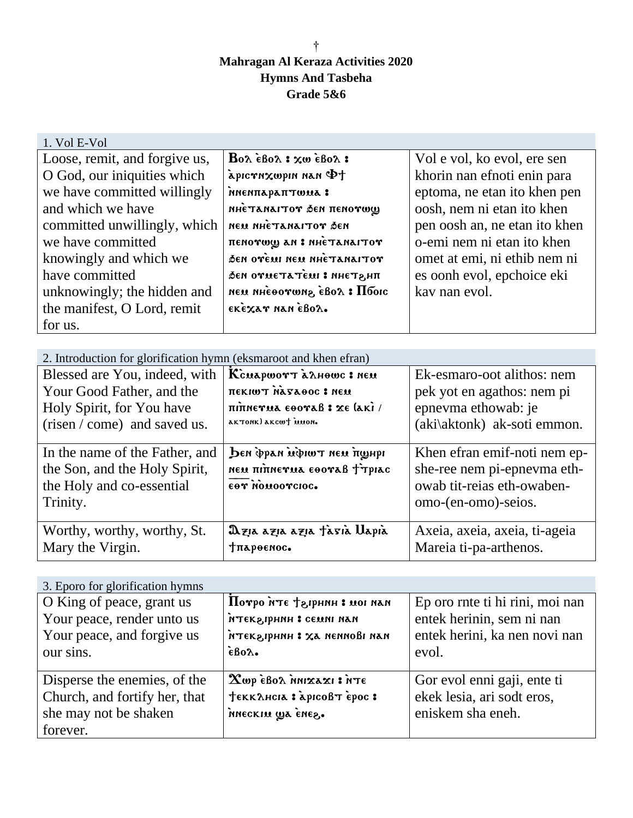## † **Mahragan Al Keraza Activities 2020 Hymns And Tasbeha Grade 5&6**

| 1. Vol E-Vol                  |                                                                          |                               |
|-------------------------------|--------------------------------------------------------------------------|-------------------------------|
| Loose, remit, and forgive us, | $Bo\lambda$ $\epsilon$ Bo $\lambda$ : $\chi$ w $\epsilon$ Bo $\lambda$ : | Vol e vol, ko evol, ere sen   |
| O God, our iniquities which   | $\mathcal{L}$ han niqwxn $\mathcal{L}$ no $\mathcal{L}$                  | khorin nan efnoti enin para   |
| we have committed willingly   | MNENTAPATTWUA :                                                          | eptoma, ne etan ito khen pen  |
| and which we have             | пнеталагтот бел пелотоц                                                  | oosh, nem ni etan ito khen    |
| committed unwillingly, which  | neu nhe Tanartor den                                                     | pen oosh an, ne etan ito khen |
| we have committed             | пенотшу ан : ниетанагтот                                                 | o-emi nem ni etan ito khen    |
| knowingly and which we        | бен отемі нем ннетанаітот                                                | omet at emi, ni ethib nem ni  |
| have committed                | бен отметатем: в инетани                                                 | es oonh evol, epchoice eki    |
| unknowingly; the hidden and   | пем пнеоотшиг, евог : Пбогс                                              | kay nan evol.                 |
| the manifest, O Lord, remit   | εκεχαν ηαπεβολ.                                                          |                               |
| for us.                       |                                                                          |                               |

| 2. Introduction for glorification hymn (eksmaroot and khen efran)                                        |                                                                                           |                                                                                                                  |  |  |
|----------------------------------------------------------------------------------------------------------|-------------------------------------------------------------------------------------------|------------------------------------------------------------------------------------------------------------------|--|--|
| Blessed are You, indeed, with                                                                            | Ксиаршотт алноше: нем                                                                     | Ek-esmaro-oot alithos: nem                                                                                       |  |  |
| Your Good Father, and the<br>Holy Spirit, for You have<br>(risen / come) and saved us.                   | <b><i>THEKIWT MASAOOC : NEW</i></b><br>πιπηενικα εθοναβ: χε (ακί/<br>aktonk) akcwt innon. | pek yot en agathos: nem pi<br>epnevma ethowab: je<br>(aki\aktonk) ak-soti emmon.                                 |  |  |
|                                                                                                          |                                                                                           |                                                                                                                  |  |  |
| In the name of the Father, and<br>the Son, and the Holy Spirit,<br>the Holy and co-essential<br>Trinity. | Den фран шфишт нем пунри<br>neu ninnerua EOOraß frpiac<br>εθΥ ΝΟΜΟΟΥΣΙΟΣ.                 | Khen efran emif-noti nem ep-<br>she-ree nem pi-epnevma eth-<br>owab tit-reias eth-owaben-<br>omo-(en-omo)-seios. |  |  |
| Worthy, worthy, worthy, St.<br>Mary the Virgin.                                                          | Dzia azia azia tasia Uapia<br>тлароемос.                                                  | Axeia, axeia, axeia, ti-ageia<br>Mareia ti-pa-arthenos.                                                          |  |  |

| 3. Eporo for glorification hymns                                                                   |                                                                                                                  |                                                                                                        |  |  |
|----------------------------------------------------------------------------------------------------|------------------------------------------------------------------------------------------------------------------|--------------------------------------------------------------------------------------------------------|--|--|
| O King of peace, grant us<br>Your peace, render unto us<br>Your peace, and forgive us<br>our sins. | Потро нте + згрнин : мог наи<br>птекапини: семин нан<br>пля і допизи да непиові пап<br>$\epsilon$ Bo $\lambda$ . | Ep oro rnte ti hi rini, moi nan<br>entek herinin, sem ni nan<br>entek herini, ka nen novi nan<br>evol. |  |  |
| Disperse the enemies, of the<br>Church, and fortify her, that<br>she may not be shaken<br>forever. | Xωρ εβολ nnixaxi: iTE<br>TEKKAHCIA : apicoß T epoc :<br>nneckiu wa enez.                                         | Gor evol enni gaji, ente ti<br>ekek lesia, ari sodt eros,<br>eniskem sha eneh.                         |  |  |